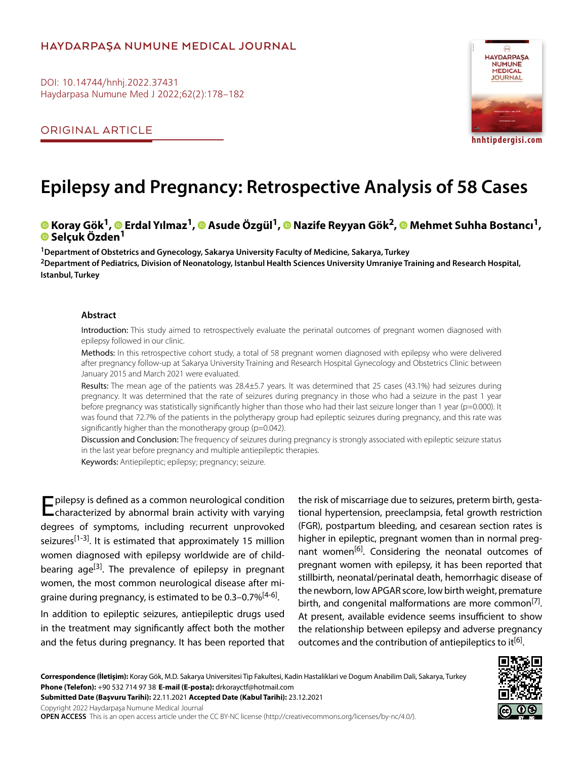# **HAYDARPAŞA NUMUNE MEDICAL JOURNAL**

DOI: 10.14744/hnhj.2022.37431 Haydarpasa Numune Med J 2022;62(2):178–182

ORIGINAL ARTICLE



**hnhtipdergisi.com**

# **Epilepsy and Pregnancy: Retrospective Analysis of 58 Cases**

# **Koray Gök1,Erdal Yılmaz1,Asude Özgül1,Nazife Reyyan Gök2,Mehmet Suhha Bostancı1, Selçuk Özden1**

**1Department of Obstetrics and Gynecology, Sakarya University Faculty of Medicine, Sakarya, Turkey 2Department of Pediatrics, Division of Neonatology, Istanbul Health Sciences University Umraniye Training and Research Hospital, Istanbul, Turkey**

#### **Abstract**

Introduction: This study aimed to retrospectively evaluate the perinatal outcomes of pregnant women diagnosed with epilepsy followed in our clinic.

Methods: In this retrospective cohort study, a total of 58 pregnant women diagnosed with epilepsy who were delivered after pregnancy follow-up at Sakarya University Training and Research Hospital Gynecology and Obstetrics Clinic between January 2015 and March 2021 were evaluated.

Results: The mean age of the patients was 28.4±5.7 years. It was determined that 25 cases (43.1%) had seizures during pregnancy. It was determined that the rate of seizures during pregnancy in those who had a seizure in the past 1 year before pregnancy was statistically significantly higher than those who had their last seizure longer than 1 year (p=0.000). It was found that 72.7% of the patients in the polytherapy group had epileptic seizures during pregnancy, and this rate was significantly higher than the monotherapy group (p=0.042).

Discussion and Conclusion: The frequency of seizures during pregnancy is strongly associated with epileptic seizure status in the last year before pregnancy and multiple antiepileptic therapies.

Keywords: Antiepileptic; epilepsy; pregnancy; seizure.

Epilepsy is defined as a common neurological condition characterized by abnormal brain activity with varying degrees of symptoms, including recurrent unprovoked seizures<sup>[1-3]</sup>. It is estimated that approximately 15 million women diagnosed with epilepsy worldwide are of childbearing age<sup>[3]</sup>. The prevalence of epilepsy in pregnant women, the most common neurological disease after migraine during pregnancy, is estimated to be 0.3–0.7%<sup>[4-6]</sup>.

In addition to epileptic seizures, antiepileptic drugs used in the treatment may significantly affect both the mother and the fetus during pregnancy. It has been reported that the risk of miscarriage due to seizures, preterm birth, gestational hypertension, preeclampsia, fetal growth restriction (FGR), postpartum bleeding, and cesarean section rates is higher in epileptic, pregnant women than in normal pregnant women<sup>[6]</sup>. Considering the neonatal outcomes of pregnant women with epilepsy, it has been reported that stillbirth, neonatal/perinatal death, hemorrhagic disease of the newborn, low APGAR score, low birth weight, premature birth, and congenital malformations are more common<sup>[7]</sup>. At present, available evidence seems insufficient to show the relationship between epilepsy and adverse pregnancy outcomes and the contribution of antiepileptics to it<sup>[6]</sup>.

**Correspondence (İletişim):** Koray Gök, M.D. Sakarya Universitesi Tip Fakultesi, Kadin Hastaliklari ve Dogum Anabilim Dali, Sakarya, Turkey **Phone (Telefon):** +90 532 714 97 38 **E-mail (E-posta):** drkorayctf@hotmail.com **Submitted Date (Başvuru Tarihi):** 22.11.2021 **Accepted Date (Kabul Tarihi):** 23.12.2021

Copyright 2022 Haydarpaşa Numune Medical Journal

**OPEN ACCESS** This is an open access article under the CC BY-NC license (http://creativecommons.org/licenses/by-nc/4.0/).

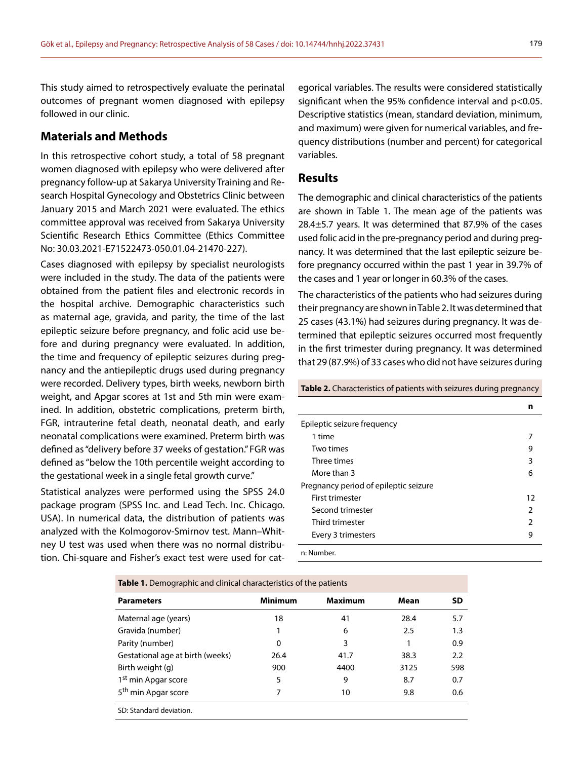This study aimed to retrospectively evaluate the perinatal outcomes of pregnant women diagnosed with epilepsy followed in our clinic.

## **Materials and Methods**

In this retrospective cohort study, a total of 58 pregnant women diagnosed with epilepsy who were delivered after pregnancy follow-up at Sakarya University Training and Research Hospital Gynecology and Obstetrics Clinic between January 2015 and March 2021 were evaluated. The ethics committee approval was received from Sakarya University Scientific Research Ethics Committee (Ethics Committee No: 30.03.2021-E71522473-050.01.04-21470-227).

Cases diagnosed with epilepsy by specialist neurologists were included in the study. The data of the patients were obtained from the patient files and electronic records in the hospital archive. Demographic characteristics such as maternal age, gravida, and parity, the time of the last epileptic seizure before pregnancy, and folic acid use before and during pregnancy were evaluated. In addition, the time and frequency of epileptic seizures during pregnancy and the antiepileptic drugs used during pregnancy were recorded. Delivery types, birth weeks, newborn birth weight, and Apgar scores at 1st and 5th min were examined. In addition, obstetric complications, preterm birth, FGR, intrauterine fetal death, neonatal death, and early neonatal complications were examined. Preterm birth was defined as "delivery before 37 weeks of gestation." FGR was defined as "below the 10th percentile weight according to the gestational week in a single fetal growth curve."

Statistical analyzes were performed using the SPSS 24.0 package program (SPSS Inc. and Lead Tech. Inc. Chicago. USA). In numerical data, the distribution of patients was analyzed with the Kolmogorov-Smirnov test. Mann–Whitney U test was used when there was no normal distribution. Chi-square and Fisher's exact test were used for cat-

egorical variables. The results were considered statistically significant when the 95% confidence interval and p<0.05. Descriptive statistics (mean, standard deviation, minimum, and maximum) were given for numerical variables, and frequency distributions (number and percent) for categorical variables.

# **Results**

The demographic and clinical characteristics of the patients are shown in Table 1. The mean age of the patients was 28.4±5.7 years. It was determined that 87.9% of the cases used folic acid in the pre-pregnancy period and during pregnancy. It was determined that the last epileptic seizure before pregnancy occurred within the past 1 year in 39.7% of the cases and 1 year or longer in 60.3% of the cases.

The characteristics of the patients who had seizures during their pregnancy are shown in Table 2. It was determined that 25 cases (43.1%) had seizures during pregnancy. It was determined that epileptic seizures occurred most frequently in the first trimester during pregnancy. It was determined that 29 (87.9%) of 33 cases who did not have seizures during

**Table 2.** Characteristics of patients with seizures during pregnancy

|                                       | n             |
|---------------------------------------|---------------|
| Epileptic seizure frequency           |               |
| 1 time                                |               |
| Two times                             | 9             |
| Three times                           | 3             |
| More than 3                           | 6             |
| Pregnancy period of epileptic seizure |               |
| First trimester                       | 12            |
| Second trimester                      | $\mathcal{P}$ |
| Third trimester                       | $\mathcal{P}$ |
| Every 3 trimesters                    | 9             |
| n: Numher                             |               |

**Table 1.** Demographic and clinical characteristics of the patients

| <b>Parameters</b>                | <b>Minimum</b> | <b>Maximum</b> | Mean | <b>SD</b> |
|----------------------------------|----------------|----------------|------|-----------|
| Maternal age (years)             | 18             | 41             | 28.4 | 5.7       |
| Gravida (number)                 | 1              | 6              | 2.5  | 1.3       |
| Parity (number)                  | 0              | 3              |      | 0.9       |
| Gestational age at birth (weeks) | 26.4           | 41.7           | 38.3 | 2.2       |
| Birth weight (g)                 | 900            | 4400           | 3125 | 598       |
| 1 <sup>st</sup> min Apgar score  | 5              | 9              | 8.7  | 0.7       |
| 5 <sup>th</sup> min Apgar score  | 7              | 10             | 9.8  | 0.6       |
| SD: Standard deviation.          |                |                |      |           |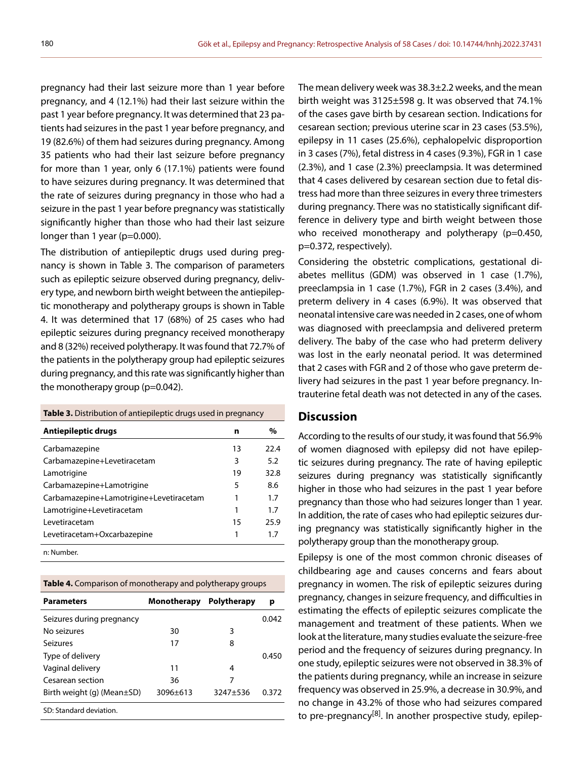pregnancy had their last seizure more than 1 year before pregnancy, and 4 (12.1%) had their last seizure within the past 1 year before pregnancy. It was determined that 23 patients had seizures in the past 1 year before pregnancy, and 19 (82.6%) of them had seizures during pregnancy. Among 35 patients who had their last seizure before pregnancy for more than 1 year, only 6 (17.1%) patients were found to have seizures during pregnancy. It was determined that the rate of seizures during pregnancy in those who had a seizure in the past 1 year before pregnancy was statistically significantly higher than those who had their last seizure longer than 1 year (p=0.000).

The distribution of antiepileptic drugs used during pregnancy is shown in Table 3. The comparison of parameters such as epileptic seizure observed during pregnancy, delivery type, and newborn birth weight between the antiepileptic monotherapy and polytherapy groups is shown in Table 4. It was determined that 17 (68%) of 25 cases who had epileptic seizures during pregnancy received monotherapy and 8 (32%) received polytherapy. It was found that 72.7% of the patients in the polytherapy group had epileptic seizures during pregnancy, and this rate was significantly higher than the monotherapy group (p=0.042).

#### **Table 3.** Distribution of antiepileptic drugs used in pregnancy

| Antiepileptic drugs                     | n  | $\%$ |
|-----------------------------------------|----|------|
|                                         |    |      |
| Carbamazepine                           | 13 | 22.4 |
| Carbamazepine+Levetiracetam             | 3  | 5.2  |
| Lamotrigine                             | 19 | 32.8 |
| Carbamazepine+Lamotrigine               | 5  | 8.6  |
| Carbamazepine+Lamotrigine+Levetiracetam | 1  | 1.7  |
| Lamotrigine+Levetiracetam               | 1  | 1.7  |
| I evetiracetam                          | 15 | 25.9 |
| Levetiracetam+Oxcarbazepine             | 1  | 17   |
| n: Number.                              |    |      |

**Table 4.** Comparison of monotherapy and polytherapy groups

| <b>Parameters</b>                | Monotherapy  | <b>Polytherapy</b> | р     |
|----------------------------------|--------------|--------------------|-------|
| Seizures during pregnancy        |              |                    | 0.042 |
| No seizures                      | 30           | 3                  |       |
| Seizures                         | 17           | 8                  |       |
| Type of delivery                 |              |                    | 0.450 |
| Vaginal delivery                 | 11           | 4                  |       |
| Cesarean section                 | 36           | 7                  |       |
| Birth weight (g) (Mean $\pm$ SD) | $3096 + 613$ | 3247+536           | በ 372 |
| SD: Standard deviation.          |              |                    |       |

The mean delivery week was 38.3±2.2 weeks, and the mean birth weight was 3125±598 g. It was observed that 74.1% of the cases gave birth by cesarean section. Indications for cesarean section; previous uterine scar in 23 cases (53.5%), epilepsy in 11 cases (25.6%), cephalopelvic disproportion in 3 cases (7%), fetal distress in 4 cases (9.3%), FGR in 1 case (2.3%), and 1 case (2.3%) preeclampsia. It was determined that 4 cases delivered by cesarean section due to fetal distress had more than three seizures in every three trimesters during pregnancy. There was no statistically significant difference in delivery type and birth weight between those who received monotherapy and polytherapy (p=0.450, p=0.372, respectively).

Considering the obstetric complications, gestational diabetes mellitus (GDM) was observed in 1 case (1.7%), preeclampsia in 1 case (1.7%), FGR in 2 cases (3.4%), and preterm delivery in 4 cases (6.9%). It was observed that neonatal intensive care was needed in 2 cases, one of whom was diagnosed with preeclampsia and delivered preterm delivery. The baby of the case who had preterm delivery was lost in the early neonatal period. It was determined that 2 cases with FGR and 2 of those who gave preterm delivery had seizures in the past 1 year before pregnancy. Intrauterine fetal death was not detected in any of the cases.

## **Discussion**

According to the results of our study, it was found that 56.9% of women diagnosed with epilepsy did not have epileptic seizures during pregnancy. The rate of having epileptic seizures during pregnancy was statistically significantly higher in those who had seizures in the past 1 year before pregnancy than those who had seizures longer than 1 year. In addition, the rate of cases who had epileptic seizures during pregnancy was statistically significantly higher in the polytherapy group than the monotherapy group.

Epilepsy is one of the most common chronic diseases of childbearing age and causes concerns and fears about pregnancy in women. The risk of epileptic seizures during pregnancy, changes in seizure frequency, and difficulties in estimating the effects of epileptic seizures complicate the management and treatment of these patients. When we look at the literature, many studies evaluate the seizure-free period and the frequency of seizures during pregnancy. In one study, epileptic seizures were not observed in 38.3% of the patients during pregnancy, while an increase in seizure frequency was observed in 25.9%, a decrease in 30.9%, and no change in 43.2% of those who had seizures compared to pre-pregnancy<sup>[8]</sup>. In another prospective study, epilep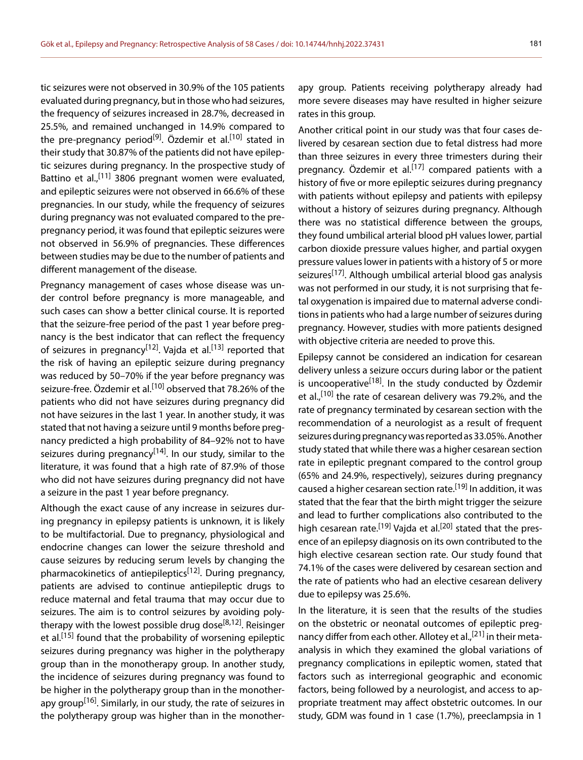tic seizures were not observed in 30.9% of the 105 patients evaluated during pregnancy, but in those who had seizures, the frequency of seizures increased in 28.7%, decreased in 25.5%, and remained unchanged in 14.9% compared to the pre-pregnancy period<sup>[9]</sup>. Özdemir et al.<sup>[10]</sup> stated in their study that 30.87% of the patients did not have epileptic seizures during pregnancy. In the prospective study of Battino et al.,<sup>[11]</sup> 3806 pregnant women were evaluated, and epileptic seizures were not observed in 66.6% of these pregnancies. In our study, while the frequency of seizures during pregnancy was not evaluated compared to the prepregnancy period, it was found that epileptic seizures were not observed in 56.9% of pregnancies. These differences between studies may be due to the number of patients and different management of the disease.

Pregnancy management of cases whose disease was under control before pregnancy is more manageable, and such cases can show a better clinical course. It is reported that the seizure-free period of the past 1 year before pregnancy is the best indicator that can reflect the frequency of seizures in pregnancy<sup>[12]</sup>. Vajda et al.<sup>[13]</sup> reported that the risk of having an epileptic seizure during pregnancy was reduced by 50–70% if the year before pregnancy was seizure-free. Özdemir et al.<sup>[10]</sup> observed that 78.26% of the patients who did not have seizures during pregnancy did not have seizures in the last 1 year. In another study, it was stated that not having a seizure until 9 months before pregnancy predicted a high probability of 84–92% not to have seizures during pregnancy<sup>[14]</sup>. In our study, similar to the literature, it was found that a high rate of 87.9% of those who did not have seizures during pregnancy did not have a seizure in the past 1 year before pregnancy.

Although the exact cause of any increase in seizures during pregnancy in epilepsy patients is unknown, it is likely to be multifactorial. Due to pregnancy, physiological and endocrine changes can lower the seizure threshold and cause seizures by reducing serum levels by changing the pharmacokinetics of antiepileptics<sup>[12]</sup>. During pregnancy, patients are advised to continue antiepileptic drugs to reduce maternal and fetal trauma that may occur due to seizures. The aim is to control seizures by avoiding polytherapy with the lowest possible drug dose<sup>[8,12]</sup>. Reisinger et al.<sup>[15]</sup> found that the probability of worsening epileptic seizures during pregnancy was higher in the polytherapy group than in the monotherapy group. In another study, the incidence of seizures during pregnancy was found to be higher in the polytherapy group than in the monotherapy group<sup>[16]</sup>. Similarly, in our study, the rate of seizures in the polytherapy group was higher than in the monotherapy group. Patients receiving polytherapy already had more severe diseases may have resulted in higher seizure rates in this group.

Another critical point in our study was that four cases delivered by cesarean section due to fetal distress had more than three seizures in every three trimesters during their pregnancy. Özdemir et al.<sup>[17]</sup> compared patients with a history of five or more epileptic seizures during pregnancy with patients without epilepsy and patients with epilepsy without a history of seizures during pregnancy. Although there was no statistical difference between the groups, they found umbilical arterial blood pH values lower, partial carbon dioxide pressure values higher, and partial oxygen pressure values lower in patients with a history of 5 or more seizures<sup>[17]</sup>. Although umbilical arterial blood gas analysis was not performed in our study, it is not surprising that fetal oxygenation is impaired due to maternal adverse conditions in patients who had a large number of seizures during pregnancy. However, studies with more patients designed with objective criteria are needed to prove this.

Epilepsy cannot be considered an indication for cesarean delivery unless a seizure occurs during labor or the patient is uncooperative<sup>[18]</sup>. In the study conducted by Özdemir et al.,<sup>[10]</sup> the rate of cesarean delivery was 79.2%, and the rate of pregnancy terminated by cesarean section with the recommendation of a neurologist as a result of frequent seizures during pregnancy was reported as 33.05%. Another study stated that while there was a higher cesarean section rate in epileptic pregnant compared to the control group (65% and 24.9%, respectively), seizures during pregnancy caused a higher cesarean section rate.<sup>[19]</sup> In addition, it was stated that the fear that the birth might trigger the seizure and lead to further complications also contributed to the high cesarean rate.<sup>[19]</sup> Vajda et al.<sup>[20]</sup> stated that the presence of an epilepsy diagnosis on its own contributed to the high elective cesarean section rate. Our study found that 74.1% of the cases were delivered by cesarean section and the rate of patients who had an elective cesarean delivery due to epilepsy was 25.6%.

In the literature, it is seen that the results of the studies on the obstetric or neonatal outcomes of epileptic pregnancy differ from each other. Allotey et al.,<sup>[21]</sup> in their metaanalysis in which they examined the global variations of pregnancy complications in epileptic women, stated that factors such as interregional geographic and economic factors, being followed by a neurologist, and access to appropriate treatment may affect obstetric outcomes. In our study, GDM was found in 1 case (1.7%), preeclampsia in 1